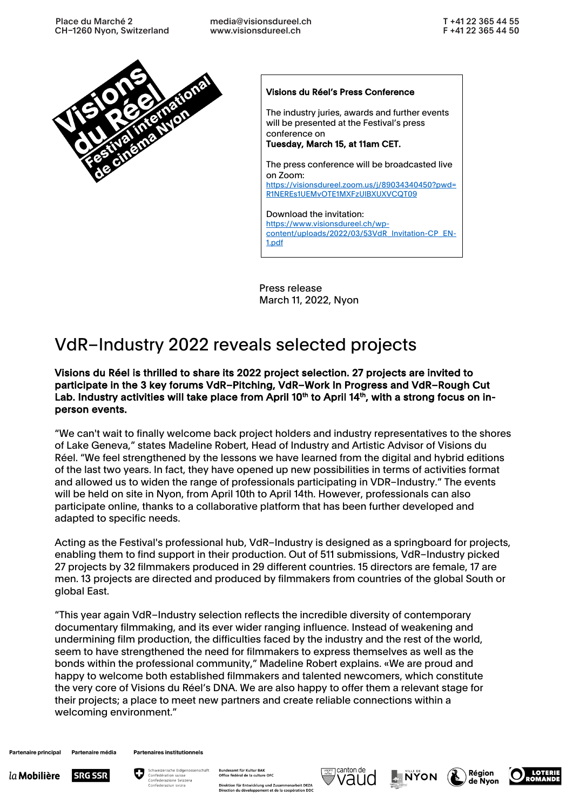

#### Visions du Réel's Press Conference

The industry juries, awards and further events will be presented at the Festival's press conference on Tuesday, March 15, at 11am CET.

The press conference will be broadcasted live on Zoom: https://visionsdureel.zoom.us/j/89034340450?pwd= R1NEREs1UEMvOTE1MXFzUlBXUXVCQT09

Download the invitation: https://www.visionsdureel.ch/wpcontent/uploads/2022/03/53VdR\_Invitation-CP\_EN-1.pdf

Press release March 11, 2022, Nyon

# VdR–Industry 2022 reveals selected projects

Visions du Réel is thrilled to share its 2022 project selection. 27 projects are invited to participate in the 3 key forums VdR–Pitching, VdR–Work In Progress and VdR–Rough Cut Lab. Industry activities will take place from April 10<sup>th</sup> to April 14<sup>th</sup>, with a strong focus on inperson events.

"We can't wait to finally welcome back project holders and industry representatives to the shores of Lake Geneva," states Madeline Robert, Head of Industry and Artistic Advisor of Visions du Réel. "We feel strengthened by the lessons we have learned from the digital and hybrid editions of the last two years. In fact, they have opened up new possibilities in terms of activities format and allowed us to widen the range of professionals participating in VDR–Industry." The events will be held on site in Nyon, from April 10th to April 14th. However, professionals can also participate online, thanks to a collaborative platform that has been further developed and adapted to specific needs.

Acting as the Festival's professional hub, VdR–Industry is designed as a springboard for projects, enabling them to find support in their production. Out of 511 submissions, VdR–Industry picked 27 projects by 32 filmmakers produced in 29 different countries. 15 directors are female, 17 are men. 13 projects are directed and produced by filmmakers from countries of the global South or global East.

"This year again VdR–Industry selection reflects the incredible diversity of contemporary documentary filmmaking, and its ever wider ranging influence. Instead of weakening and undermining film production, the difficulties faced by the industry and the rest of the world, seem to have strengthened the need for filmmakers to express themselves as well as the bonds within the professional community," Madeline Robert explains. «We are proud and happy to welcome both established filmmakers and talented newcomers, which constitute the very core of Visions du Réel's DNA. We are also happy to offer them a relevant stage for their projects; a place to meet new partners and create reliable connections within a welcoming environment."

Partenaire principal Partenaire média **Partenaires institutionnels** 













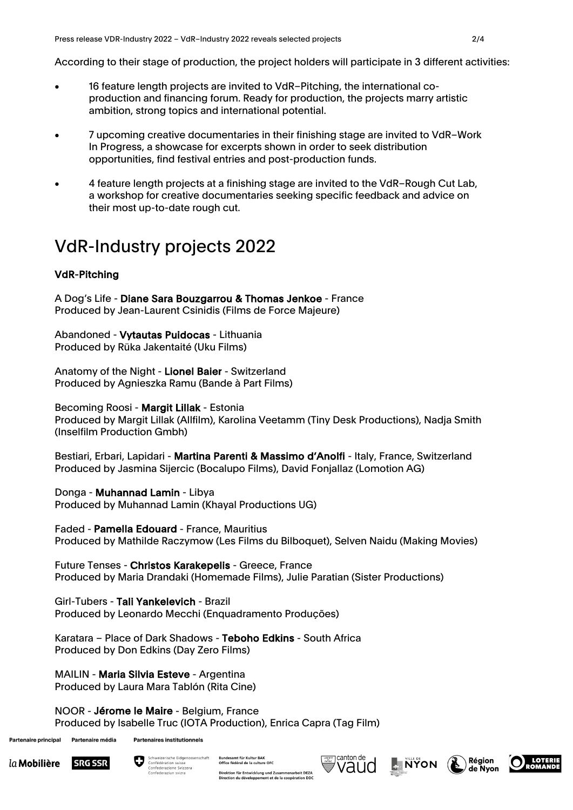According to their stage of production, the project holders will participate in 3 different activities:

- 16 feature length projects are invited to VdR–Pitching, the international coproduction and financing forum. Ready for production, the projects marry artistic ambition, strong topics and international potential.
- 7 upcoming creative documentaries in their finishing stage are invited to VdR–Work In Progress, a showcase for excerpts shown in order to seek distribution opportunities, find festival entries and post-production funds.
- 4 feature length projects at a finishing stage are invited to the VdR–Rough Cut Lab, a workshop for creative documentaries seeking specific feedback and advice on their most up-to-date rough cut.

# VdR-Industry projects 2022

## VdR-Pitching

A Dog's Life - Diane Sara Bouzgarrou & Thomas Jenkoe - France Produced by Jean-Laurent Csinidis (Films de Force Majeure)

Abandoned - Vytautas Puidocas - Lithuania Produced by Rüka Jakentaité (Uku Films)

Anatomy of the Night - Lionel Baier - Switzerland Produced by Agnieszka Ramu (Bande à Part Films)

#### Becoming Roosi - Margit Lillak - Estonia

Produced by Margit Lillak (Allfilm), Karolina Veetamm (Tiny Desk Productions), Nadja Smith (Inselfilm Production Gmbh)

Bestiari, Erbari, Lapidari - Martina Parenti & Massimo d'Anolfi - Italy, France, Switzerland Produced by Jasmina Sijercic (Bocalupo Films), David Fonjallaz (Lomotion AG)

Donga - Muhannad Lamin - Libya Produced by Muhannad Lamin (Khayal Productions UG)

Faded - Pamella Edouard - France, Mauritius Produced by Mathilde Raczymow (Les Films du Bilboquet), Selven Naidu (Making Movies)

Future Tenses - Christos Karakepelis - Greece, France Produced by Maria Drandaki (Homemade Films), Julie Paratian (Sister Productions)

Girl-Tubers - Tali Yankelevich - Brazil Produced by Leonardo Mecchi (Enquadramento Produções)

Karatara – Place of Dark Shadows - Teboho Edkins - South Africa Produced by Don Edkins (Day Zero Films)

MAILIN - Maria Silvia Esteve - Argentina Produced by Laura Mara Tablón (Rita Cine)

NOOR - Jérome le Maire - Belgium, France Produced by Isabelle Truc (IOTA Production), Enrica Capra (Tag Film)

Partenaire principal Partenaire média





Bundesamt für Kultur BAI Office fédéral de la culture OFC Direktion für Entwicklung und Zusammenarbeit DEZA<br>Direction du développement et de la coopération DDC







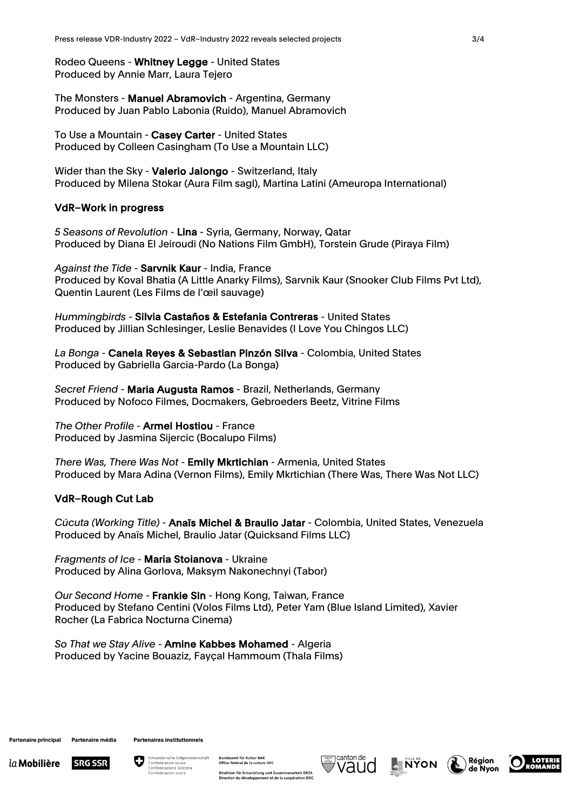Rodeo Queens - Whitney Legge - United States Produced by Annie Marr, Laura Tejero

The Monsters - Manuel Abramovich - Argentina, Germany Produced by Juan Pablo Labonia (Ruido), Manuel Abramovich

To Use a Mountain - Casey Carter - United States Produced by Colleen Casingham (To Use a Mountain LLC)

Wider than the Sky - Valerio Jalongo - Switzerland, Italy Produced by Milena Stokar (Aura Film sagl), Martina Latini (Ameuropa International)

#### VdR–Work in progress

*5 Seasons of Revolution* - Lina - Syria, Germany, Norway, Qatar Produced by Diana El Jeiroudi (No Nations Film GmbH), Torstein Grude (Piraya Film)

*Against the Tide* - Sarvnik Kaur - India, France Produced by Koval Bhatia (A Little Anarky Films), Sarvnik Kaur (Snooker Club Films Pvt Ltd), Quentin Laurent (Les Films de l'œil sauvage)

*Hummingbirds* - Silvia Castaños & Estefania Contreras - United States Produced by Jillian Schlesinger, Leslie Benavides (I Love You Chingos LLC)

*La Bonga* - Canela Reyes & Sebastian Pinzón Silva - Colombia, United States Produced by Gabriella Garcia-Pardo (La Bonga)

*Secret Friend* - Maria Augusta Ramos - Brazil, Netherlands, Germany Produced by Nofoco Filmes, Docmakers, Gebroeders Beetz, Vitrine Films

*The Other Profile* - Armel Hostiou - France Produced by Jasmina Sijercic (Bocalupo Films)

*There Was, There Was Not* - Emily Mkrtichian - Armenia, United States Produced by Mara Adina (Vernon Films), Emily Mkrtichian (There Was, There Was Not LLC)

### VdR–Rough Cut Lab

*Cúcuta (Working Title)* - Anaïs Michel & Braulio Jatar - Colombia, United States, Venezuela Produced by Anaïs Michel, Braulio Jatar (Quicksand Films LLC)

*Fragments of Ice* - Maria Stoianova - Ukraine Produced by Alina Gorlova, Maksym Nakonechnyi (Tabor)

*Our Second Home* - Frankie Sin - Hong Kong, Taiwan, France Produced by Stefano Centini (Volos Films Ltd), Peter Yam (Blue Island Limited), Xavier Rocher (La Fabrica Nocturna Cinema)

*So That we Stay Alive* - Amine Kabbes Mohamed - Algeria Produced by Yacine Bouaziz, Fayçal Hammoum (Thala Films)

Partenaire principal Partenaire média Partenaires institutionnels





ındesamt für Kultur BAI Office fédéral de la culture OFC Direktion für Entwicklung und Zusammenarbeit DEZA<br>Direction du développement et de la coopération DDC